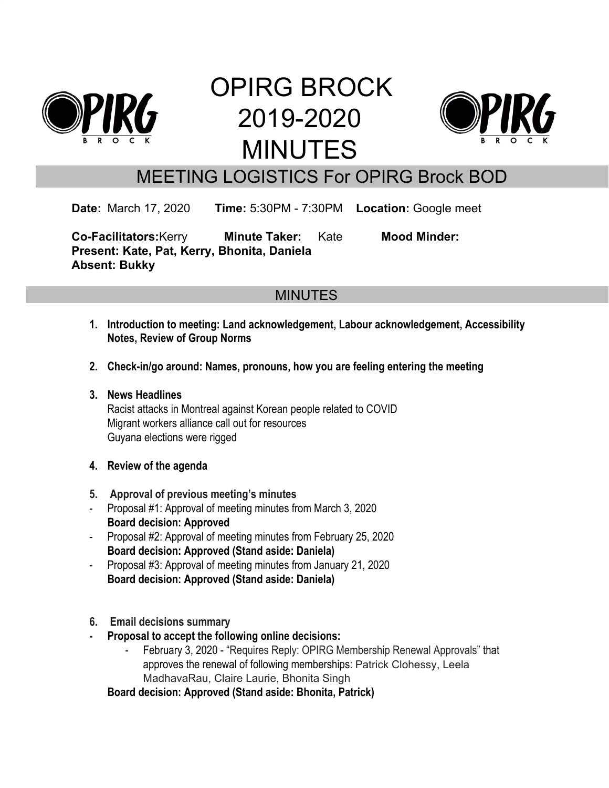

# OPIRG BROCK 2019-2020 MINUTES



# MEETING LOGISTICS For OPIRG Brock BOD

**Date:** March 17, 2020 **Time:** 5:30PM - 7:30PM **Location:** Google meet

**Co-Facilitators:**Kerry **Minute Taker:** Kate **Mood Minder: Present: Kate, Pat, Kerry, Bhonita, Daniela Absent: Bukky**

# **MINUTES**

- **1. Introduction to meeting: Land acknowledgement, Labour acknowledgement, Accessibility Notes, Review of Group Norms**
- **2. Check-in/go around: Names, pronouns, how you are feeling entering the meeting**
- **3. News Headlines** Racist attacks in Montreal against Korean people related to COVID Migrant workers alliance call out for resources Guyana elections were rigged
- **4. Review of the agenda**
- **5. Approval of previous meeting's minutes**
- Proposal #1: Approval of meeting minutes from March 3, 2020 **Board decision: Approved**
- Proposal #2: Approval of meeting minutes from February 25, 2020 **Board decision: Approved (Stand aside: Daniela)**
- Proposal #3: Approval of meeting minutes from January 21, 2020 **Board decision: Approved (Stand aside: Daniela)**
- **6. Email decisions summary**
- **- Proposal to accept the following online decisions:**
	- February 3, 2020 "Requires Reply: OPIRG Membership Renewal Approvals" that approves the renewal of following memberships: Patrick Clohessy, Leela MadhavaRau, Claire Laurie, Bhonita Singh

**Board decision: Approved (Stand aside: Bhonita, Patrick)**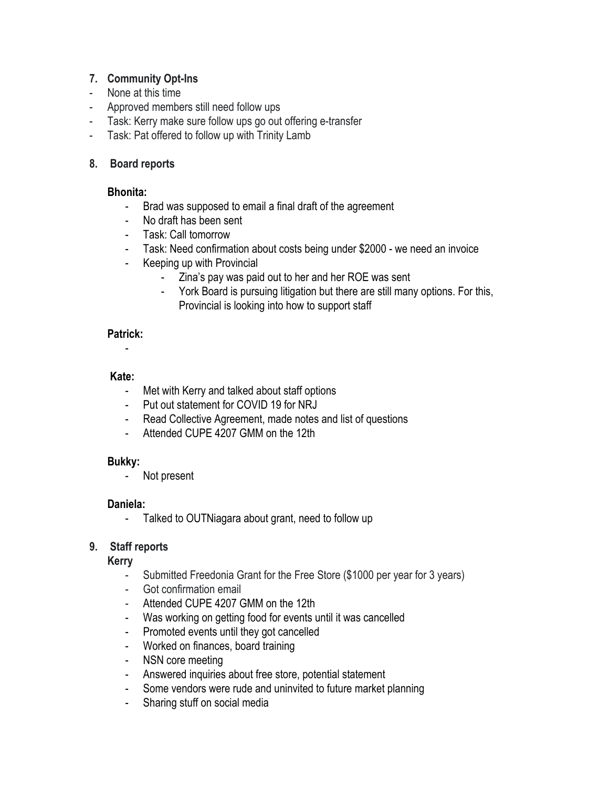#### **7. Community Opt-Ins**

- None at this time
- Approved members still need follow ups
- Task: Kerry make sure follow ups go out offering e-transfer
- Task: Pat offered to follow up with Trinity Lamb

#### **8. Board reports**

#### **Bhonita:**

- Brad was supposed to email a final draft of the agreement
- No draft has been sent
- Task: Call tomorrow
- Task: Need confirmation about costs being under \$2000 we need an invoice
- Keeping up with Provincial
	- Zina's pay was paid out to her and her ROE was sent
	- York Board is pursuing litigation but there are still many options. For this, Provincial is looking into how to support staff

#### **Patrick:**

# -

#### **Kate:**

- Met with Kerry and talked about staff options
- Put out statement for COVID 19 for NRJ
- Read Collective Agreement, made notes and list of questions
- Attended CUPE 4207 GMM on the 12th

#### **Bukky:**

- Not present

#### **Daniela:**

- Talked to OUTNiagara about grant, need to follow up

# **9. Staff reports**

# **Kerry**

- Submitted Freedonia Grant for the Free Store (\$1000 per year for 3 years)
- Got confirmation email
- Attended CUPE 4207 GMM on the 12th
- Was working on getting food for events until it was cancelled
- Promoted events until they got cancelled
- Worked on finances, board training
- NSN core meeting
- Answered inquiries about free store, potential statement
- Some vendors were rude and uninvited to future market planning
- Sharing stuff on social media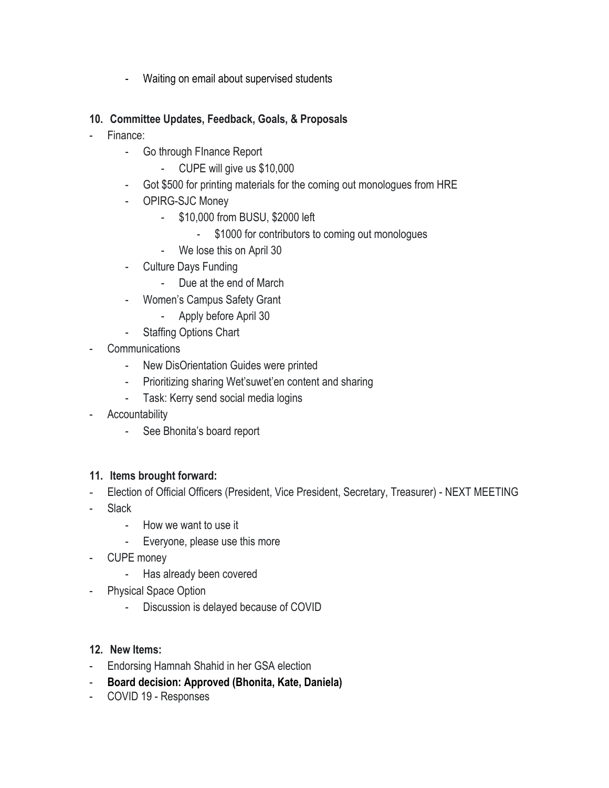- Waiting on email about supervised students

# **10. Committee Updates, Feedback, Goals, & Proposals**

- Finance:
	- Go through FInance Report
		- CUPE will give us \$10,000
	- Got \$500 for printing materials for the coming out monologues from HRE
	- OPIRG-SJC Money
		- \$10,000 from BUSU, \$2000 left
			- \$1000 for contributors to coming out monologues
		- We lose this on April 30
	- Culture Days Funding
		- Due at the end of March
	- Women's Campus Safety Grant
		- Apply before April 30
	- Staffing Options Chart
- **Communications** 
	- New DisOrientation Guides were printed
	- Prioritizing sharing Wet'suwet'en content and sharing
	- Task: Kerry send social media logins
- **Accountability** 
	- See Bhonita's board report

# **11. Items brought forward:**

- Election of Official Officers (President, Vice President, Secretary, Treasurer) NEXT MEETING
- **Slack** 
	- How we want to use it
	- Everyone, please use this more
- CUPE money
	- Has already been covered
- Physical Space Option
	- Discussion is delayed because of COVID

# **12. New Items:**

- Endorsing Hamnah Shahid in her GSA election
- **Board decision: Approved (Bhonita, Kate, Daniela)**
- COVID 19 Responses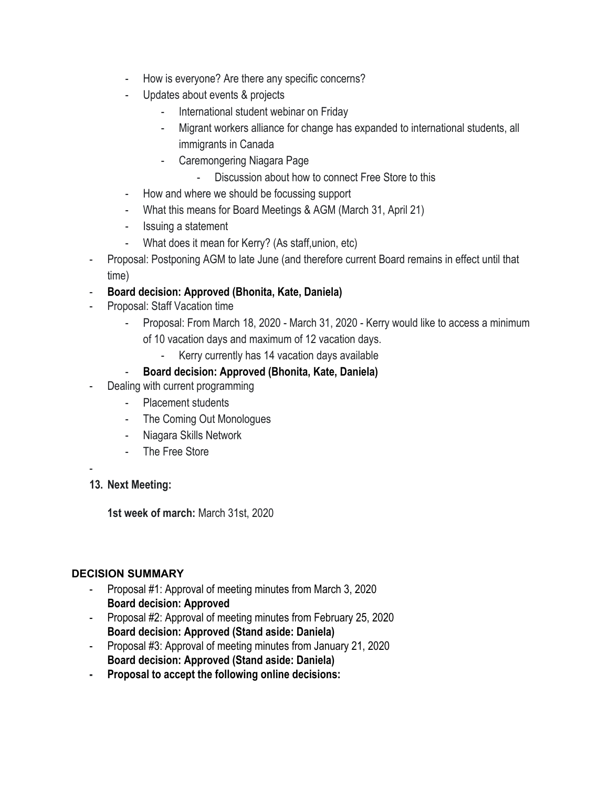- How is everyone? Are there any specific concerns?
- Updates about events & projects
	- International student webinar on Friday
	- Migrant workers alliance for change has expanded to international students, all immigrants in Canada
	- Caremongering Niagara Page
		- Discussion about how to connect Free Store to this
- How and where we should be focussing support
- What this means for Board Meetings & AGM (March 31, April 21)
- Issuing a statement
- What does it mean for Kerry? (As staff,union, etc)
- Proposal: Postponing AGM to late June (and therefore current Board remains in effect until that time)
- **Board decision: Approved (Bhonita, Kate, Daniela)**
- Proposal: Staff Vacation time
	- Proposal: From March 18, 2020 March 31, 2020 Kerry would like to access a minimum of 10 vacation days and maximum of 12 vacation days.
		- Kerry currently has 14 vacation days available

#### - **Board decision: Approved (Bhonita, Kate, Daniela)**

- Dealing with current programming
	- Placement students
	- The Coming Out Monologues
	- Niagara Skills Network
	- The Free Store

-

#### **13. Next Meeting:**

**1st week of march:** March 31st, 2020

#### **DECISION SUMMARY**

- Proposal #1: Approval of meeting minutes from March 3, 2020 **Board decision: Approved**
- Proposal #2: Approval of meeting minutes from February 25, 2020 **Board decision: Approved (Stand aside: Daniela)**
- Proposal #3: Approval of meeting minutes from January 21, 2020 **Board decision: Approved (Stand aside: Daniela)**
- **- Proposal to accept the following online decisions:**